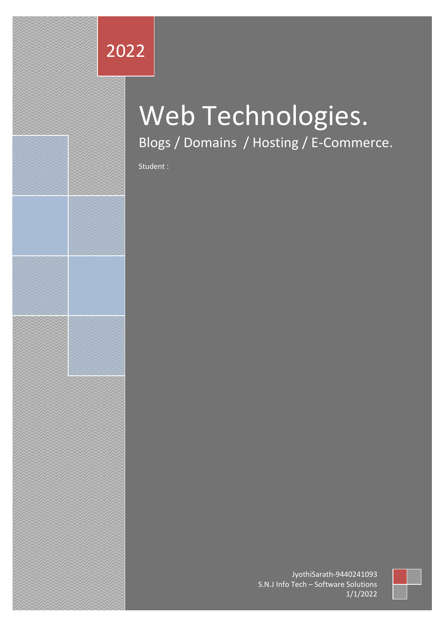## 2022

# Web Technologies. Blogs / Domains / Hosting / E-Commerce.

Student :

JyothiSarath-9440241093 S.N.J Info Tech – Software Solutions 1/1/2022